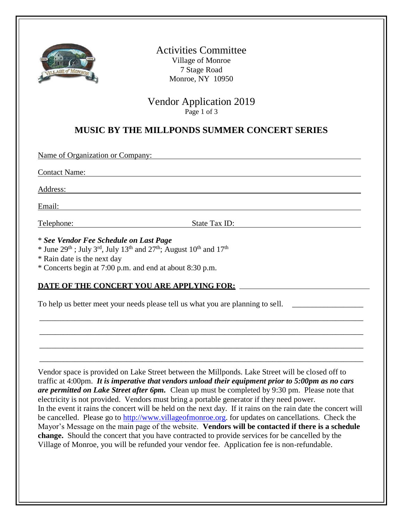

Activities Committee Village of Monroe 7 Stage Road Monroe, NY 10950

Vendor Application 2019 Page 1 of 3

### **MUSIC BY THE MILLPONDS SUMMER CONCERT SERIES**

Name of Organization or Company:

Contact Name:

Address:

Email:

Telephone: State Tax ID:

\* *See Vendor Fee Schedule on Last Page*

\* June 29<sup>th</sup>; July 3<sup>rd</sup>, July 13<sup>th</sup> and 27<sup>th</sup>; August 10<sup>th</sup> and 17<sup>th</sup>

\* Rain date is the next day

\* Concerts begin at 7:00 p.m. and end at about 8:30 p.m.

#### **DATE OF THE CONCERT YOU ARE APPLYING FOR:**

To help us better meet your needs please tell us what you are planning to sell.

Vendor space is provided on Lake Street between the Millponds. Lake Street will be closed off to traffic at 4:00pm. *It is imperative that vendors unload their equipment prior to 5:00pm as no cars are permitted on Lake Street after 6pm.*Clean up must be completed by 9:30 pm. Please note that electricity is not provided. Vendors must bring a portable generator if they need power. In the event it rains the concert will be held on the next day. If it rains on the rain date the concert will be cancelled. Please go to [http://www.villageofmonroe.org.](http://www.villageofmonroe.org/) for updates on cancellations. Check the Mayor's Message on the main page of the website. **Vendors will be contacted if there is a schedule change.** Should the concert that you have contracted to provide services for be cancelled by the Village of Monroe, you will be refunded your vendor fee. Application fee is non-refundable.

\_\_\_\_\_\_\_\_\_\_\_\_\_\_\_\_\_\_\_\_\_\_\_\_\_\_\_\_\_\_\_\_\_\_\_\_\_\_\_\_\_\_\_\_\_\_\_\_\_\_\_\_\_\_\_\_\_\_\_\_\_\_\_\_\_\_\_\_\_\_\_\_\_\_\_\_\_\_\_\_\_\_

\_\_\_\_\_\_\_\_\_\_\_\_\_\_\_\_\_\_\_\_\_\_\_\_\_\_\_\_\_\_\_\_\_\_\_\_\_\_\_\_\_\_\_\_\_\_\_\_\_\_\_\_\_\_\_\_\_\_\_\_\_\_\_\_\_\_\_\_\_\_\_\_\_\_\_\_\_\_\_\_\_\_

\_\_\_\_\_\_\_\_\_\_\_\_\_\_\_\_\_\_\_\_\_\_\_\_\_\_\_\_\_\_\_\_\_\_\_\_\_\_\_\_\_\_\_\_\_\_\_\_\_\_\_\_\_\_\_\_\_\_\_\_\_\_\_\_\_\_\_\_\_\_\_\_\_\_\_\_\_\_\_\_\_\_

\_\_\_\_\_\_\_\_\_\_\_\_\_\_\_\_\_\_\_\_\_\_\_\_\_\_\_\_\_\_\_\_\_\_\_\_\_\_\_\_\_\_\_\_\_\_\_\_\_\_\_\_\_\_\_\_\_\_\_\_\_\_\_\_\_\_\_\_\_\_\_\_\_\_\_\_\_\_\_\_\_\_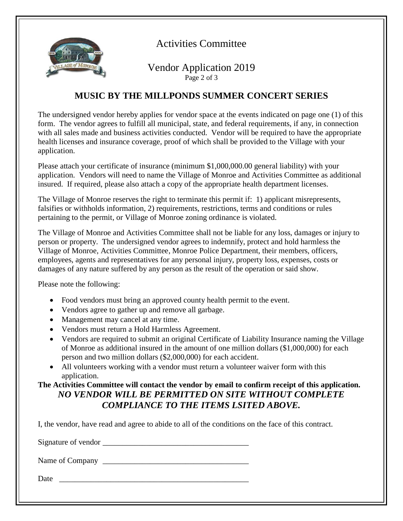

# Activities Committee

Vendor Application 2019 Page 2 of 3

### **MUSIC BY THE MILLPONDS SUMMER CONCERT SERIES**

The undersigned vendor hereby applies for vendor space at the events indicated on page one (1) of this form. The vendor agrees to fulfill all municipal, state, and federal requirements, if any, in connection with all sales made and business activities conducted. Vendor will be required to have the appropriate health licenses and insurance coverage, proof of which shall be provided to the Village with your application.

Please attach your certificate of insurance (minimum \$1,000,000.00 general liability) with your application. Vendors will need to name the Village of Monroe and Activities Committee as additional insured. If required, please also attach a copy of the appropriate health department licenses.

The Village of Monroe reserves the right to terminate this permit if: 1) applicant misrepresents, falsifies or withholds information, 2) requirements, restrictions, terms and conditions or rules pertaining to the permit, or Village of Monroe zoning ordinance is violated.

The Village of Monroe and Activities Committee shall not be liable for any loss, damages or injury to person or property. The undersigned vendor agrees to indemnify, protect and hold harmless the Village of Monroe, Activities Committee, Monroe Police Department, their members, officers, employees, agents and representatives for any personal injury, property loss, expenses, costs or damages of any nature suffered by any person as the result of the operation or said show.

Please note the following:

- Food vendors must bring an approved county health permit to the event.
- Vendors agree to gather up and remove all garbage.
- Management may cancel at any time.
- Vendors must return a Hold Harmless Agreement.
- Vendors are required to submit an original Certificate of Liability Insurance naming the Village of Monroe as additional insured in the amount of one million dollars (\$1,000,000) for each person and two million dollars (\$2,000,000) for each accident.
- All volunteers working with a vendor must return a volunteer waiver form with this application.

### **The Activities Committee will contact the vendor by email to confirm receipt of this application.** *NO VENDOR WILL BE PERMITTED ON SITE WITHOUT COMPLETE COMPLIANCE TO THE ITEMS LSITED ABOVE.*

I, the vendor, have read and agree to abide to all of the conditions on the face of this contract.

Signature of vendor \_\_\_\_\_\_\_\_\_\_\_\_\_\_\_\_\_\_\_\_\_\_\_\_\_\_\_\_\_\_\_\_\_\_\_\_\_

Name of Company \_\_\_\_\_\_\_\_\_\_\_\_\_\_\_\_\_\_\_\_\_\_\_\_\_\_\_\_\_\_\_\_\_\_\_\_\_

Date  $\Box$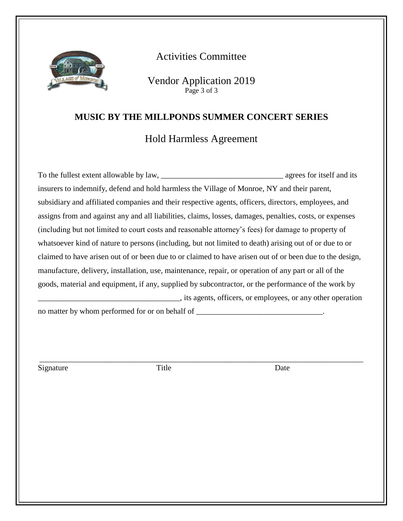

## Activities Committee

Vendor Application 2019 Page 3 of 3

#### **MUSIC BY THE MILLPONDS SUMMER CONCERT SERIES**

## Hold Harmless Agreement

To the fullest extent allowable by law, agrees for itself and its insurers to indemnify, defend and hold harmless the Village of Monroe, NY and their parent, subsidiary and affiliated companies and their respective agents, officers, directors, employees, and assigns from and against any and all liabilities, claims, losses, damages, penalties, costs, or expenses (including but not limited to court costs and reasonable attorney's fees) for damage to property of whatsoever kind of nature to persons (including, but not limited to death) arising out of or due to or claimed to have arisen out of or been due to or claimed to have arisen out of or been due to the design, manufacture, delivery, installation, use, maintenance, repair, or operation of any part or all of the goods, material and equipment, if any, supplied by subcontractor, or the performance of the work by \_\_\_\_\_\_\_\_\_\_\_\_\_\_\_\_\_\_\_\_\_\_\_\_\_\_\_\_\_\_\_\_\_\_\_\_, its agents, officers, or employees, or any other operation no matter by whom performed for or on behalf of

\_\_\_\_\_\_\_\_\_\_\_\_\_\_\_\_\_\_\_\_\_\_\_\_\_\_\_\_\_\_\_\_\_\_\_\_\_\_\_\_\_\_\_\_\_\_\_\_\_\_\_\_\_\_\_\_\_\_\_\_\_\_\_\_\_\_\_\_\_\_\_\_\_\_\_\_\_\_\_\_\_\_

Signature Date Title Date Date